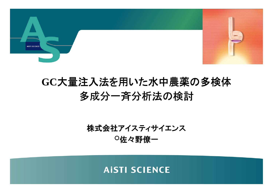

### **GC**大量注入法を用いた水中農薬の多検体多成分一斉分析法の検討

株式会社アイスティサイエンス○佐々野僚一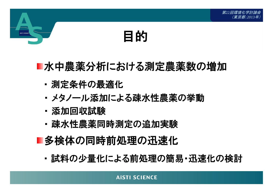# 目的

### ■水中農薬分析における測定農薬数の増加

- ・測定条件の最適化
- ・· メタノール添加による疎水性農薬の挙動
- 添加回収試験
- ・疎水性農薬同時測定の追加実験
- ■多検体の同時前処理の迅速化
	- ・試料の少量化による前処理の簡易・迅速化の検討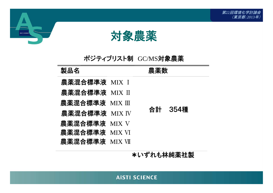



### ポジティブリスト制 GC/MS対象農薬<br>——————————————————

| 製品名             | 農薬数 |         |
|-----------------|-----|---------|
| 農薬混合標準液 MIX I   |     |         |
| 農薬混合標準液 MIX II  |     |         |
| 農薬混合標準液 MIX III |     |         |
| 農薬混合標準液 MIX IV  |     | 合計 354種 |
| 農薬混合標準液 MIX V   |     |         |
| 農薬混合標準液 MIX VI  |     |         |
| 農薬混合標準液 MIXVII  |     |         |
|                 |     |         |

\*いずれも林純薬社製

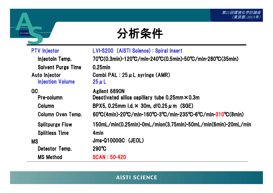

| <b>PTV</b> Injector                      | LVI-S200 (AISTI Science): Spiral Insert                                                                                                |
|------------------------------------------|----------------------------------------------------------------------------------------------------------------------------------------|
| Injectoin Temp.                          | 70°C(0.3min)-120°C/min-240°C(0.5min)-50°C/min-280°C(35min)                                                                             |
| <b>Solvent Purge Time</b>                | $0.25$ min                                                                                                                             |
| Auto Injector<br><b>Injection Volume</b> | Combi PAL : $25 \mu$ L syringe (AMR)<br>$25 \mu L$                                                                                     |
| <b>GC</b>                                | Agilent 6890N                                                                                                                          |
| Pre-column                               | Deactivated silica capillary tube $0.25$ mm $\times$ 0.3m                                                                              |
| <b>Column</b>                            | BPX5, 0.25mm i.d. $\times$ 30m, df0.25 $\mu$ m (SGE)                                                                                   |
| <b>Column Oven Temp.</b>                 | $60^{\circ}C(4min)$ -20 $^{\circ}C/min$ -160 $^{\circ}C$ -3 $^{\circ}C/min$ -235 $^{\circ}C$ -6 $^{\circ}C/min$ -310 $^{\circ}C(8min)$ |
| <b>Splitpurge Flow</b>                   | 150mL/min(0.25min)-0mL/mion(3.75min)-50mL/min(6min)-20mL/min                                                                           |
| <b>Splitless Time</b>                    | 4 <sub>min</sub>                                                                                                                       |
| <b>MS</b>                                | Jms-Q1000GC (JEOL)                                                                                                                     |
| Detector Temp.                           | $290^\circ \text{C}$                                                                                                                   |
| <b>MS Method</b>                         | <b>SCAN: 50-420</b>                                                                                                                    |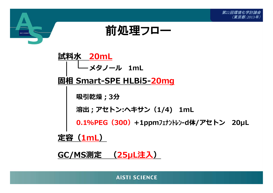



吸引乾燥;3分固相 Smart-SPE HLBi5-<mark>20mg</mark><br>| メタノール 1mL 試料水 20mL<br> <mark>0.1%PEG(300)</mark>+1ppmフェナントレンーd体/アセトン 20μL 溶出;アセトン:ヘキサン(1/4) 1mL

定容(1mL)

**AISTI SCIENC** 

<u>GC/MS測定 (25µL注入)</u>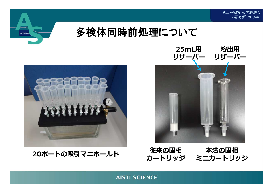



20ポートの吸引マニホールド





ド 従来の固相 本法の固相<br>カートリッジ ミニカートリッジ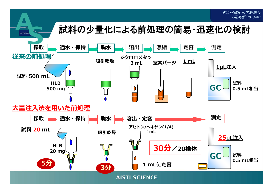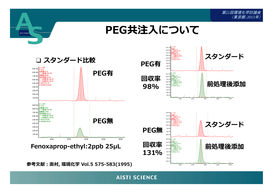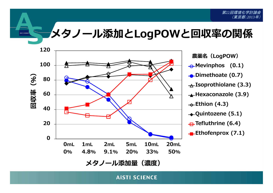メタノール添加とLogPOWと回収率の関係



ATEXT CATE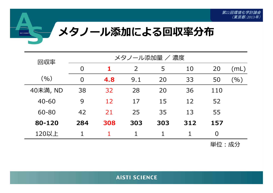

| 回収率 |           | メタノール添加量 / 濃度  |     |                |     |     |                |      |  |  |  |
|-----|-----------|----------------|-----|----------------|-----|-----|----------------|------|--|--|--|
|     |           | $\overline{0}$ |     | $\overline{2}$ | 5   | 10  | 20             | (mL) |  |  |  |
|     | (9/0)     | $\overline{0}$ | 4.8 | 9.1            | 20  | 33  | 50             | (%)  |  |  |  |
|     | 40未満, ND  | 38             | 32  | 28             | 20  | 36  | 110            |      |  |  |  |
|     | $40 - 60$ | 9              | 12  | 17             | 15  | 12  | 52             |      |  |  |  |
|     | 60-80     | 42             | 21  | 25             | 35  | 13  | 55             |      |  |  |  |
|     | 80-120    | 284            | 308 | 303            | 303 | 312 | 157            |      |  |  |  |
|     | 120以上     |                |     |                | 1   |     | $\overline{0}$ |      |  |  |  |
|     |           |                |     |                |     |     | 出什 . 武公        |      |  |  |  |

単位:成分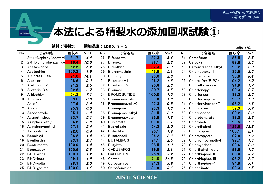### 本法による精製水の添加回収試験①

**AISTI SCIENCI** 

No.<u>化合物名 回収率 *RSD.* No. 化合物名 回収率 *RSD.* No. 化合物名 回収率 *RSD.*<br>Naphthyl)acetami **81.7 4.6** 26. Bifenazate **87.3 6.4** 5.1 Carbofuran **86.5 2.5**</u> 12- $(1-Naphthy)$ acetami 81.7 4.6<br>2.6-Dichlorobenzamide 16.4 *10.6*  $\begin{array}{cccccccc} 6 & & 26 & \text{Bifenazate} & & & 87.3 & & 6.4 & & 51 & \text{Carbofuran} & & & 86.5 & 2.5 \ \textbf{\textit{6}} & & 27 & \text{Rifanox} & & & \textbf{\textit{881}} & & 3.3 & & 52 & \text{Carbovin} & & & & \textbf{\textit{896}} & & 3.5 \end{array}$ 22,6-Dichlorobenzamide 16.4 *10.6* 27 Bifenox 88.1 *3.3* 52 Carboxin 89.6 *3.5*<br>Acetaminride 62.5 5.2 28 Bifenthrin <mark> 32.3 *8.0* 53 Carfentrazone et</mark> 3 Acetamipride 62.5 5.2 <sup>28</sup> Bifenthrin 32.3 8.0 <sup>53</sup> Carfentrazone ethyl 98.2 2.0 4 Acetochlor 100.8 1.9 <sup>29</sup> Bioresmethrin 45.9 5.1 <sup>54</sup> Chlomethoxynil 89.5 3.5 5ACRINATHRIN 1999. ACRINATHRIN 1998. ACRINATHRIN 1998. ISLAMIN 1998. ISLAMIN 1998. ACRINATHRIN 1998. ISLAMIN 19<br>Alachlor 1986 03 31 Bitertanol-1 1962 18 56 Chlorbufam(BIPC) 104.2 10 6 Alachlor 98.6 0.3 <sup>31</sup> Bitertanol-1 96.2 1.8 <sup>56</sup> Chlorbufam(BIPC) 104.2 1.0 7 Allethrin-1,2 91.2 2.5 <sup>32</sup> Bitertanol-2 95.6 2.6 <sup>57</sup> Chlorethoxyphos 91.9 1.7 8 Allethrin-3,4 82.6 2.7 <sup>33</sup> Bromacil 80.7 4.5 <sup>58</sup> Chlorfenapyr 90.3 2.7 9 Allidochlor 54.2 7.1 <sup>34</sup> BROMOBUTIDE 100.0 1.5 <sup>59</sup> Chlorfenson 98.3 2.6 RSD. **i試料:精製水 添加濃度:1ppb, n = 5**<br>化合物名 回収率 *RSD* No. 化合物名 10 Ametryn 99.0 0.8 <sup>35</sup> Bromoconazole-1 97.8 1.8 <sup>60</sup> Chlorfenvinphos-E 98.7 1.9 11 Anilofos 97.9 2.6 <sup>36</sup> Bromoconazole-2 97.3 0.5 <sup>61</sup> Chlorfenvinphos-Z 98.2 1.6 12 Atrazin 95.3 0.6 <sup>37</sup> Bromophos 93.3 1.6 <sup>62</sup> Chloridazon 52.3 7.9 13 Azaconazole 95.1 2.0 <sup>38</sup> Bromophos-ethyl 81.5 2.9 <sup>63</sup> Chlormephos 100.2 2.3 14 Azamethiphos 83.7 6.1 <sup>39</sup> Bromopropylate 86.8 1.8 <sup>64</sup> Chlorobenzilate 98.0 2.3 15 Azinphos-ethyl 96.6 3.9 <sup>40</sup> Bupirimate 101.0 2.1 <sup>65</sup> Chloroneb 99.5 1.3 16 Azinphos-methyl 97.1 2.4 <sup>41</sup> Buprofezin 94.2 3.0 <sup>66</sup> Chlorothalonil 133.8 12.3 17 Azoxystrobin 92.6 3.4 <sup>42</sup> Butachlor 95.1 1.4 <sup>67</sup> Chlorpropham 100.1 2.1 18 Benalaxyl 98.8 1.4 <sup>43</sup> Butafenacil 96.2 2.3 <sup>68</sup> Chlorpropylate 92.6 1.9 19 Benfluralin 83.1 2.4 <sup>44</sup> BUTAMIFOS 94.1 2.5 <sup>69</sup> Chlorpyrifos methyl 98.7 1.4 20Benfuresate 100.9 *1.4* 45 Butylate 100.9 1.3 70 Chlorpyriphos 93.6 2.*3*<br>Benovacor 100.6 *0.8* 46 CADUSAEOS 99.8 2.1 71 Chlorthal-dimethyl 98.6 1.5 21 Benoxacor 100.6 0.8 <sup>46</sup> CADUSAFOS 99.8 2.1 <sup>71</sup> Chlorthal-dimethyl 98.6 1.5 22 BHC-alpha 100.1 1.2 <sup>47</sup> CAFENSTROLE 95.9 2.2 <sup>72</sup> Chlorthiophos II 80.4 3.7 23 BHC-beta 99.1 1.5 <sup>48</sup> Captan 71.0 21.5 <sup>73</sup> Chlorthiophos III 98.2 2.7  $24$  BHC-delta 98.1 2.0 <sup>49</sup> Carbetamide 81.3 3.9 <sup>74</sup> Chlorthiophos-1 84.8 3.1 25BHC-gamma 100.0 *1.6* 50 Carbofenotion 81.9 *3.6* 75 Chlozolinate 93.3 *1.5*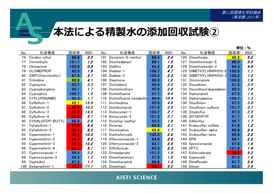# 本法による精製水の添加回収試験2

**AISTI SCIENCE** 

| 76  | Cinidon-ethyl       |       |      |     | 化合物名                     | 回収率   | RSD. | No. | 化合物名                   | 回収率   | RSD. |
|-----|---------------------|-------|------|-----|--------------------------|-------|------|-----|------------------------|-------|------|
|     |                     | 89.6  | 2.5  | 101 | Demeton-S-methyl         | 88.4  | 2.4  | 126 | Dimethoate             | 42.2  | 6.2  |
| 77  | Cinmethylin         | 101.7 | 1.2  | 102 | Desmedipham              | 99.1  | 1.5  | 127 | Dimethomorph-E         | 96.9  | 5.0  |
| 78  | Clomazone           | 100.6 | 0.9  | 103 | <b>Dialifos</b>          | 94.2  | 2.8  | 128 | Dimethomorph-Z         | 94.3  | 4.9  |
| 79  | <b>CLOMEPROP</b>    | 93.0  | 1.9  | 104 | Diallate-1               | 109.7 | 4.7  | 129 | DIMETHYLVINPHOS-E      | 100.0 | 1.1  |
| 80  | CNP(Chlornitrofen)  | 87.4  | 3.1  | 105 | Diallate-2               | 100.4 | 2.3  | 130 | DIMETHYLVINPHOS-Z      | 100.2 | 1.3  |
| 81  | Crimidine           | 68.9  | 4.1  | 106 | Diazinone                | 99.3  | 1.2  | 131 | Diniconazole           | 100.0 | 1.9  |
| 82  | Cyanazine           | 92.7  | 3.3  | 107 | Dichlobenil              | 98.4  | 2.5  | 132 | Dioxathion             | 81.5  | 3.5  |
| 83  | Cyanophenphos       | 96.1  | 1.7  | 108 | Dichlofenthion           | 95.9  | 2.8  | 133 | Dioxothion(degradation | 88.2  | 7.9  |
| 84  | Cyanophos           | 100.7 | 1.0  | 109 | Dichlofluanid            | 97.7  | 8.9  |     | 134 Diphenamid         | 97.3  | 1.4  |
| 85  | <b>CYFLUFENAMID</b> | 93.3  | 1.7  | 110 | Dichlofluanid metabolite | 88.9  | 10.4 | 135 | Diphenylamine          | 100.7 | 1.3  |
| 86  | Cyfluthrin-1        | 42.1  | 15.9 | 111 | Dichlorphos              | 80.6  | 4.9  | 136 | Disulfoton             | 97.2  | 3.0  |
| 87  | Cyfluthrin-2        | 35.7  | 10.5 | 112 | Diclobutrazole           | 101.4 | 2.0  | 137 | Disulfoton sulfone     | 101.7 | 3.7  |
| 88  | Cyfluthrin-3        | 36.0  | 14.5 | 113 | Diclocymet-1             | 103.7 | 2.7  | 138 | Ditalimfos             | 97.3  | 2.5  |
| 89  | Cyfluthrin-4        | 37.2  | 8.7  | 114 | Diclocymet-2             | 101.5 | 2.7  | 139 | <b>DITHIOPYR</b>       | 91.7  | 1.8  |
| 90  | CYHALOFOP-BUTYL     | 88.9  | 2.6  | 115 | Diclofop-methyl          | 92.2  | 1.9  | 140 | Edifenfos              | 98.7  | 1.7  |
| 91  | Cyhalothrin-1       | 27.0  | 9.4  | 116 | Dicloran                 | 95.5  | 2.1  | 141 | Endosulfan sulfate     | 91.9  | 1.2  |
| 92  | Cyhalothrin-2       | 34.9  | 9.3  | 117 | Dicrotophos              | 43.9  | 1.7  | 142 | Endosulfan-alpha       | 95.9  | 2.4  |
| 93  | Cypermethrin-1      | 32.9  | 10.0 | 118 | Diethofencarb            | 105.3 | 2.6  | 143 | Endosulfan-beta        | 95.9  | 2.2  |
| 94  | Cypermethrin-2      | 36.7  | 8.2  | 119 | Difenoconazole-1         | 94.0  | 2.6  | 144 | EPN                    | 89.1  | 2.2  |
| 95  | Cypermethrin-3      | 35.1  | 10.2 | 120 | Difenoconazole-2         | 93.1  | 2.0  | 145 | Epoxiconazole          | 97.5  | 1.4  |
| 96  | Cypermethrin-4      | 36.1  | 5.1  | 121 | Diflufenican             | 93.3  | 2.3  | 146 | <b>EPTC</b>            | 101.6 | 1.4  |
| 97  | Cyproconazole-1     | 99.4  | 2.2  | 122 | Dimepiperate             | 101.2 | 1.9  | 147 | Esfenvalerate          | 36.4  | 9.2  |
| 98  | Cyproconazole-2     | 98.3  | 1.3  | 123 | Dimethametryn            | 97.5  | 1.0  |     | 148 Esprocarb          | 97.2  | 1.4  |
| 99  | Cyprodinil          | 97.3  | 1.7  | 124 | Dimethenamid             | 96.8  | 1.3  | 149 | Ethalfluralin          | 91.7  | 2.6  |
| 100 | Deltamethrin-1      | 22.3  | 77.1 | 125 | Dimethipin               | 26.1  | 9.2  | 150 | Ethion                 | 83.2  | 3.4  |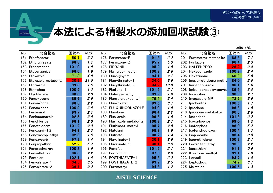# 本法による精製水の添加回収試験3

AISTI SCIENCE

| No. | 化合物名                 | 回収率   | RSD. | 化合物名<br>No.                   | 回収率   | RSD. | 化合物名<br>No.                  | 回収率   | <b>RSD</b> |
|-----|----------------------|-------|------|-------------------------------|-------|------|------------------------------|-------|------------|
| 151 | Ethofenprox          | 50.7  | 3.7  | Ferimzone-E<br>176            | 91.2  | 2.2  | 201<br>Furametpyr metabolite | 88.8  | 7.1        |
| 152 | Ethofumesate         | 98.8  | 1.1  | 177<br>Ferimzone-Z            | 95.7  | 5.3  | 202 Furilazole               | 96.4  | 2.3        |
| 153 | Ethoprophos          | 101.0 | 1.8  | <b>FIPRONIL</b><br>178        | 95.9  | 1.8  | 203<br><b>HALFENPROX</b>     | 26.2  | 9.4        |
| 154 | Etobenzanide         | 96.0  | 1.9  | 179<br>Flamprop-methyl        | 100.8 | 2.6  | 204 Hexaconazole             | 100.7 | 2.4        |
| 155 | Etoxazole            | 71.8  | 4.8  | Fluacrypyrim<br>180           | 94.1  | 2.1  | 205<br>Hexazinone            | 66.8  | 5.8        |
| 156 | Etoxazole metabolite | 30.9  | 21.5 | Flucythrinate-1<br>181        | 34.0  | 9.9  | 206<br>Imazamethabenz methy  | 84.0  | 2.8        |
| 157 | Etridiazole          | 99.3  | 1.5  | Flucythrinate-2<br>182        | 34.2  | 10.8 | 207<br>Imibenconazole        | 86.1  | 5.6        |
| 158 | Etrimphos            | 100.9 | 1.2  | 183<br>Fludioxonil            | 101.6 | 2.1  | 208<br>Imibenconazole-des-be | 89.2  | 3.8        |
| 159 | Etychlozate          | 98.6  | 2.0  | Flufenpyr-ethyl<br>184        | 99.9  | 1.9  | 209 Indanofan                | 98.6  | 2.7        |
| 160 | Famoxadone           | 89.6  | 2.5  | Flumiclorac-pentyl<br>185     | 79.4  | 3.4  | 210<br>Indoxacarb MP         | 72.7  | 5.9        |
| 161 | Fenamidone           | 98.3  | 2.2  | Flumioxazin<br>186            | 89.5  | 3.1  | Iprobenfos<br>211            | 100.6 | 1.7        |
| 162 | Fenamiphos           | 100.9 | 3.6  | FLUQUINCONAZOLE<br>187        | 94.0  | 1.5  | 212 Iprodione                | 96.8  | 1.8        |
| 163 | Fenarimol            | 93.7  | 2.1  | Fluridone<br>188              | 96.4  | 2.2  | 213 Iprodione metabolite     | 90.5  | 2.6        |
| 164 | Fenbuconazole        | 92.5  | 3.0  | 189<br>Flusilazole            | 99.3  | 1.6  | 214 Isazophos                | 101.3 | 2.7        |
| 165 | Fenchlorfos          | 96.1  | 2.0  | Flusilazole metabolite<br>190 | 100.3 | 2.7  | 215 Isocarbophos             | 99.0  | 1.2        |
| 166 | Fenothiocarb         | 101.2 | 2.3  | Fluthiacet-methyl<br>191      | 95.7  | 2.8  | 216 Isofenphos               | 96.0  | 5.7        |
| 167 | Fenoxanil-1,2        | 94.9  | 2.2  | Flutolanil<br>192             | 99.8  | 1.9  | 217<br>Isofenphos oxon       | 100.4 | 1.7        |
| 168 | Fenoxaprop-ethyl     | 92.3  | 1.5  | 193<br>Flutriafol             | 98.2  | 1.4  | 218 Isoprocarbe              | 95.4  | 0.5        |
| 169 | Fenoxycarb           | 97.9  | 1.4  | Fluvalinate-1<br>194          | 30.1  | 8.9  | 219<br>Isoprothiolane        | 100.9 | 2.1        |
| 170 | Fenpropathrin        | 52.2  | 5.7  | Fluvalinate-2<br>195          | 30.1  | 8.5  | Isoxadifen-ethyl<br>220      | 95.8  | 2.2        |
| 171 | Fenpropimorph        | 100.2 | 1.9  | Fonofos<br>196                | 101.9 | 2.1  | 221<br>Isoxathion            | 91.1  | 0.6        |
| 172 | Fensulfothion        | 96.6  | 2.2  | Formothion<br>197             | 87.3  | 2.9  | 222 Kresoxim-methyl          | 99.1  | 1.9        |
| 173 | Fenthion             | 102.1 | 1.8  | FOSTHIAZATE-1<br>198          | 95.2  | 2.2  | 223 Lenacil                  | 93.7  | 1.8        |
|     | 174 Fenvalerate-1    | 34.5  | 8.5  | FOSTHIAZATE-2<br>199          | 93.9  | 2.5  | 224 Leptophos                | 74.2  | 3.7        |
| 175 | Fenvalerate-2        | 36.4  | 9.2  | 200<br>Furametpyr             | 94.8  | 1.7  | 225<br>Malathion             | 100.5 | 1.3        |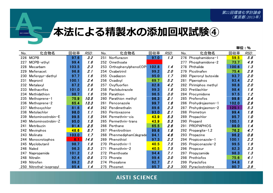# 本法による精製水の添加回収試験④

**AISTI SCIENCE** 

| No. | 化合物名                | 回収率   | RSD. | No. | 化合物名                 | 回収率   | RSD. | 化合物名<br>No.               | 回収率   | RSD. |
|-----|---------------------|-------|------|-----|----------------------|-------|------|---------------------------|-------|------|
| 226 | <b>MCPB</b>         | 97.6  | 3.2  | 251 | Norflurazon          | 97.0  | 1.3  | 276<br>Phosphamidone-1    | 59.5  | 5.8  |
| 227 | MCPB-ethyl          | 99.4  | 1.6  | 252 | Omethoate            |       |      | 277<br>Phosphamidone-2    | 73.7  | 4.9  |
| 228 | Mecarbam            | 103.5 | 2.3  | 253 | Orthophenylphenol(OP | 102.8 | 1.4  | Phthalide<br>278          | 100.6 | 1.3  |
| 229 | Mefenacet           | 96.8  | 2.1  | 254 | Oxabetrinil          | 99.2  | 2.0  | 279<br>Picolinafen        | 75.4  | 2.9  |
| 230 | Mefenpyr-diethyl    | 97.7  | 1.6  | 255 | Oxadiazon            | 95.0  | 1.7  | 280<br>Piperonyl butoxide | 93.7  | 2.0  |
| 231 | Mepronil            | 100.1 | 2.4  | 256 | Oxadixyl             | 69.7  | 5.2  | Piperophos<br>281         | 93.4  | 2.2  |
| 232 | Metalaxyl           | 87.2  | 2.8  | 257 | Oxyfluorfen          | 82.8  | 4.2  | Pirimiphos methyl<br>282  | 98.8  | 2.0  |
| 233 | <b>Methacrifos</b>  | 101.0 | 1.9  | 258 | Paclobutrazole       | 99.3  | 1.8  | Pretilachlor<br>283       | 98.4  | 1.6  |
| 234 | Methidathion        | 98.7  | 1.6  | 259 | Parathion            | 96.5  | 3.0  | 284<br>Procymidone        | 97.5  | 1.2  |
| 235 | Methoprene-1        | 75.9  | 10.5 | 260 | Parathion methyl     | 96.3  | 2.1  | 285<br>Profenofos         | 99.6  | 2.4  |
| 236 | Methoprene-2        | 65.4  | 13.3 | 261 | Penconazole          | 99.7  | 1.6  | 286<br>Prohydrojasmon-1   | 102.0 | 2.9  |
| 237 | Methoxychlor        | 81.6  | 4.8  | 262 | Pendimethalin        | 89.6  | 2.3  | 287<br>Prohydrojasmon-2   | 125.1 | 5.3  |
| 238 | Metolachlor         | 98.0  | 1.1  | 263 | Pentoxazone          | 93.0  | 2.1  | Prometryn<br>288          | 99.4  | 1.6  |
| 239 | Metominostrobin-E   | 99.5  | 1.5  |     | 264 Permethrin-cis   | 43.9  | 5.3  | Propachlor<br>289         | 95.7  | 1.0  |
| 240 | Metominostrobin-Z   | 95.0  | 1.5  | 265 | Permethrin-trans     | 43.9  | 5.3  | Propanil<br>290           | 100.1 | 1.9  |
| 241 | Metribuzin          | 91.4  | 2.5  | 266 | Perthane             | 65.5  | 2.6  | <b>PROPAPHOS</b><br>291   | 98.0  | 1.4  |
| 242 | Mevinphos           | 48.6  | 5.7  | 267 | Phenitrothion        | 99.6  | 1.8  | 292<br>Propargite-1,2     | 76.2  | 4.7  |
| 243 | Molinate            | 103.0 | 1.7  | 268 | Phenmedipham(degrada | 94.1  | 4.6  | Propazine<br>293          | 96.2  | 0.8  |
| 244 | Monocrotophos       | 6.1   | 14.8 | 269 | Phenothiol           | 97.3  | 2.3  | Propiconazole-1<br>294    | 100.1 | 2.3  |
| 245 | Myclobutanil        | 98.7  | 1.8  | 270 | Phenothrin-1         | 40.5  | 7.5  | 295<br>Propiconazole-2    | 99.5  | 1.9  |
| 246 | Naled               | 96.3  | 5.3  | 271 | Phenothrin-2         | 40.5  | 7.5  | Propoxur<br>296           | 82.3  | 3.3  |
| 247 | Napropamide         | 101.2 | 1.3  | 272 | Phenthoate           | 94.4  | 7.1  | Propyzamide<br>297        | 98.3  | 1.3  |
| 248 | Nitralin            | 92.4  | 0.8  | 273 | Phorate              | 99.4  | 3.0  | Prothiofos<br>298         | 75.6  | 4.1  |
| 249 | Nitrofen            | 89.2  | 3.0  |     | 274 Phosalone        | 92.7  | 2.1  | Pyraclofos<br>299         | 94.8  | 1.8  |
| 250 | Nitrothal-isopropyl | 95.4  | 1.4  | 275 | Phosmet              | 95.7  | 2.3  | 300<br>Pyraclostrobine    | 90.7  | 3.9  |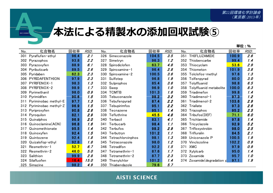# 本法による精製水の添加回収試験5

**AISTI SCIENCE** 

| No. | 化合物名                 | 回収率  | RSD. | No. | 化合物名                  | 回収率   | RSD. | No. | 化合物名                       | 回収率   | <b>RSD.</b> |
|-----|----------------------|------|------|-----|-----------------------|-------|------|-----|----------------------------|-------|-------------|
| 301 | Pyraflufen-ethyl     | 96.4 | 2.1  | 326 | Simeconazole          | 104.5 | 3.5  | 351 | THIFLUZAMIDE               | 100.9 | 2.6         |
| 302 | Pyrazophos           | 93.8 | 2.2  | 327 | Simetryn              | 96.3  | 1.2  | 352 | Thiobencarbe               | 99.4  | 1.4         |
| 303 | Pyrazoxyfen          | 88.9 | 6.1  | 328 | Spirodiclofen         | 63.7  | 4.8  | 353 | Thiocyclam                 | 53.6  | 2.9         |
| 304 | Pyributicarb         | 89.5 | 2.6  | 329 | Spiroxamine-1         | 96.4  | 2.8  |     | 354 Thiometon              | 101.9 | 3.8         |
| 305 | Pyridaben            | 62.3 | 2.3  | 330 | Spiroxamine-2         | 100.5 | 3.6  | 355 | Tolclofos-methyl           | 97.6  | 1.3         |
| 306 | PYRIDAFENTHION       | 97.9 | 2.3  | 331 | Sulfotep              | 96.8  | 1.9  | 356 | Tolfenpyrad                | 80.0  | 3.0         |
| 307 | PYRIFENOX-1          | 98.3 | 1.3  | 332 | Sulprophos            | 85.4  | 3.6  | 357 | Tolylfluanid               | 98.8  | 6.5         |
| 308 | PYRIFENOX-2          | 98.9 | 1.7  | 333 | Swep                  | 96.9  | 1.0  | 358 | Tolylfluanid metabolite    | 100.0 | 8.3         |
| 309 | Pyrimethanil         | 98.0 | 0.9  |     | 334 TCMTB             | 101.3 | 1.6  | 359 | Triadimefon                | 99.8  | 1.4         |
| 310 | Pyrimidifen          | 90.6 | 1.5  | 335 | Tebuconazole          | 98.2  | 3.2  | 360 | Triadimenol-1              | 97.3  | 1.2         |
| 311 | Pyriminobac methyl-E | 97.7 | 1.3  | 336 | Tebufenpyrad          | 87.4  | 2.2  | 361 | Triadimenol-2              | 103.6 | 2.9         |
| 312 | Pyriminobac methyl-Z | 96.9 | 1.5  | 337 | Tebupirimfos          | 95.1  | 2.2  | 362 | Triallate                  | 97.3  | 2.6         |
| 313 | Pyriproxyfen         | 90.8 | 2.6  | 338 | Tecnazene             | 95.1  | 1.4  | 363 | Triazophos                 | 95.2  | 2.5         |
| 314 | Pyroquilon           | 82.1 | 2.9  | 339 | Tefluthrine           | 45.5  | 4.8  |     | 364 Tribufos(DEF)          | 71.1  | 6.0         |
| 315 | Quinalphos           | 96.9 | 2.0  | 340 | Terbacil              | 83.1  | 4.1  | 365 | Trichlamide                | 97.8  | 1.4         |
| 316 | Quinoclamine(ACN)    | 96.8 | 1.6  | 341 | Terbucarb             | 98.4  | 1.1  | 366 | Tricyclazole               | 92.9  | 5.2         |
| 317 | Quinomethionate      | 95.5 | 1.4  | 342 | Terbufos              | 98.2  | 2.9  | 367 | Trifloxystrobin            | 98.0  | 2.5         |
| 318 | Quinoxyfen           | 92.4 | 1.5  |     | 343 Terbutryn         | 101.2 | 1.1  | 368 | Trifluralin                | 84.5  | 2.1         |
| 319 | Quintozene           | 92.4 | 1.8  |     | 344 Tetrachlorvinphos | 98.1  | 1.3  | 369 | Uniconazole P              | 100.5 | 1.9         |
| 320 | Quizalofop-ethyl     | 92.8 | 1.8  | 345 | Tetraconazole         | 98.0  | 1.2  |     | 370 Vinclozoline           | 102.2 | 0.9         |
| 321 | Resmethrin-1         | 52.7 | 6.7  |     | 346 Tetradifon        | 92.2  | 1.5  | 371 | <b>XMC</b>                 | 97.9  | 0.9         |
| 322 | Resmethrin-2         | 46.0 | 5.0  | 347 | Tetramethrin-1        | 87.6  | 1.7  |     | 372 Xylylcarb              | 95.0  | 1.4         |
| 323 | Salithion            | 99.9 | 2.8  | 348 | Tetramethrin-2        | 87.7  | 2.3  |     | 373 Zoxamide               | 95.7  | 1.0         |
| 324 | Silafluofen          | 16.4 | 15.0 | 349 | Thenylchlor           | 101.2 | 1.4  |     | 374 Zoxamide(degradation p | 97.1  | 1.9         |
| 325 | Simazine             | 98.2 | 4.9  | 350 | Thiabendazole         | 79.6  | 5.7  |     |                            |       |             |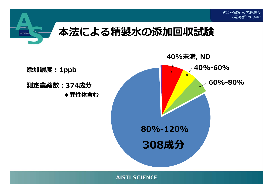

308成分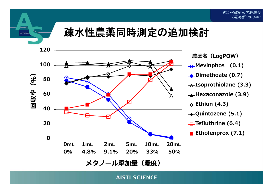*第22回環境化学討* (東京都;*2013*年)

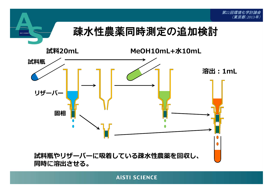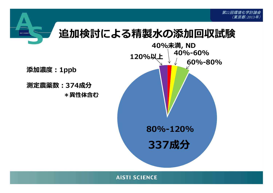